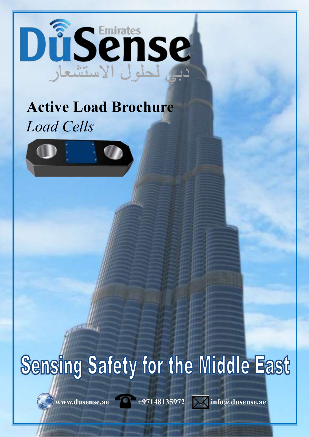

## **Active Load Brochure** *Load Cells*



# Sensing Safety for the Middle East

 $\sqrt{w}$ www.dusense.ae  $\sqrt{w}$  +97148135972  $\sqrt{w}$  info@dusense.ae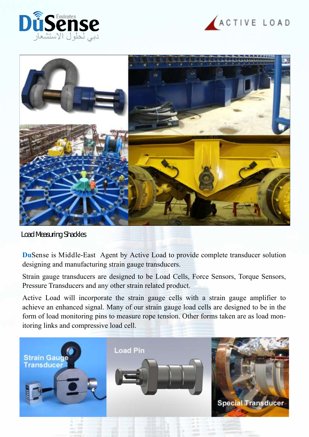





Load Measuring Shackles

**Du**Sense is Middle-East Agent by Active Load to provide complete transducer solution designing and manufacturing strain gauge transducers.

Strain gauge transducers are designed to be Load Cells, Force Sensors, Torque Sensors, Pressure Transducers and any other strain related product.

Active Load will incorporate the strain gauge cells with a strain gauge amplifier to achieve an enhanced signal. Many of our strain gauge load cells are designed to be in the form of load monitoring pins to measure rope tension. Other forms taken are as load monitoring links and compressive load cell.

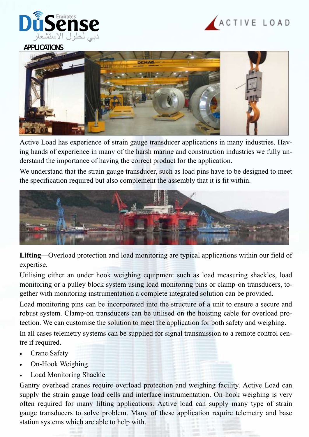



#### APPLICATIONS



Active Load has experience of strain gauge transducer applications in many industries. Having hands of experience in many of the harsh marine and construction industries we fully understand the importance of having the correct product for the application.

We understand that the strain gauge transducer, such as load pins have to be designed to meet the specification required but also complement the assembly that it is fit within.



**Lifting**—Overload protection and load monitoring are typical applications within our field of expertise.

Utilising either an under hook weighing equipment such as load measuring shackles, load monitoring or a pulley block system using load monitoring pins or clamp-on transducers, together with monitoring instrumentation a complete integrated solution can be provided.

Load monitoring pins can be incorporated into the structure of a unit to ensure a secure and robust system. Clamp-on transducers can be utilised on the hoisting cable for overload protection. We can customise the solution to meet the application for both safety and weighing.

In all cases telemetry systems can be supplied for signal transmission to a remote control centre if required.

- Crane Safety
- On-Hook Weighing
- Load Monitoring Shackle

Gantry overhead cranes require overload protection and weighing facility. Active Load can supply the strain gauge load cells and interface instrumentation. On-hook weighing is very often required for many lifting applications. Active load can supply many type of strain gauge transducers to solve problem. Many of these application require telemetry and base station systems which are able to help with.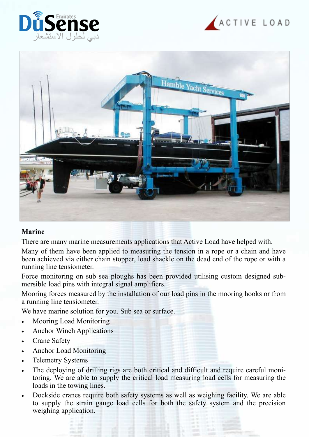





#### **Marine**

There are many marine measurements applications that Active Load have helped with.

Many of them have been applied to measuring the tension in a rope or a chain and have been achieved via either chain stopper, load shackle on the dead end of the rope or with a running line tensiometer.

Force monitoring on sub sea ploughs has been provided utilising custom designed submersible load pins with integral signal amplifiers.

Mooring forces measured by the installation of our load pins in the mooring hooks or from a running line tensiometer.

We have marine solution for you. Sub sea or surface.

- Mooring Load Monitoring
- Anchor Winch Applications
- Crane Safety
- Anchor Load Monitoring
- Telemetry Systems
- The deploying of drilling rigs are both critical and difficult and require careful monitoring. We are able to supply the critical load measuring load cells for measuring the loads in the towing lines.
- Dockside cranes require both safety systems as well as weighing facility. We are able to supply the strain gauge load cells for both the safety system and the precision weighing application.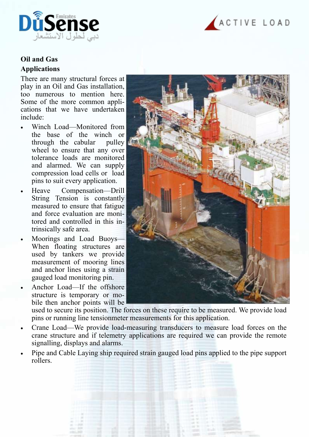



### **Oil and Gas Applications**

There are many structural forces at play in an Oil and Gas installation, too numerous to mention here. Some of the more common applications that we have undertaken include:

- Winch Load—Monitored from the base of the winch or through the cabular pulley wheel to ensure that any over tolerance loads are monitored and alarmed. We can supply compression load cells or load pins to suit every application.
- Heave Compensation—Drill String Tension is constantly measured to ensure that fatigue and force evaluation are monitored and controlled in this intrinsically safe area.
- Moorings and Load Buoys— When floating structures are used by tankers we provide measurement of mooring lines and anchor lines using a strain gauged load monitoring pin.
- Anchor Load—If the offshore structure is temporary or mobile then anchor points will be



used to secure its position. The forces on these require to be measured. We provide load pins or running line tensionmeter measurements for this application.

- Crane Load—We provide load-measuring transducers to measure load forces on the crane structure and if telemetry applications are required we can provide the remote signalling, displays and alarms.
- Pipe and Cable Laying ship required strain gauged load pins applied to the pipe support rollers.